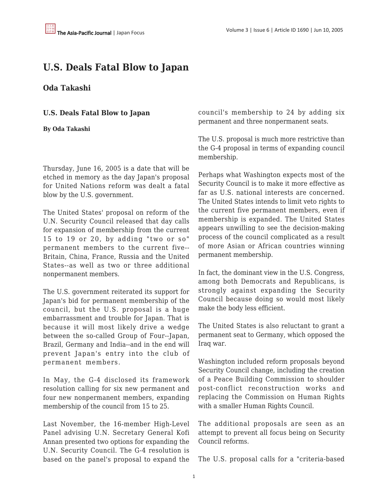## **U.S. Deals Fatal Blow to Japan**

## **Oda Takashi**

**U.S. Deals Fatal Blow to Japan**

**By Oda Takashi**

Thursday, June 16, 2005 is a date that will be etched in memory as the day Japan's proposal for United Nations reform was dealt a fatal blow by the U.S. government.

The United States' proposal on reform of the U.N. Security Council released that day calls for expansion of membership from the current 15 to 19 or 20, by adding "two or so" permanent members to the current five-- Britain, China, France, Russia and the United States--as well as two or three additional nonpermanent members.

The U.S. government reiterated its support for Japan's bid for permanent membership of the council, but the U.S. proposal is a huge embarrassment and trouble for Japan. That is because it will most likely drive a wedge between the so-called Group of Four--Japan, Brazil, Germany and India--and in the end will prevent Japan's entry into the club of permanent members.

In May, the G-4 disclosed its framework resolution calling for six new permanent and four new nonpermanent members, expanding membership of the council from 15 to 25.

Last November, the 16-member High-Level Panel advising U.N. Secretary General Kofi Annan presented two options for expanding the U.N. Security Council. The G-4 resolution is based on the panel's proposal to expand the council's membership to 24 by adding six permanent and three nonpermanent seats.

The U.S. proposal is much more restrictive than the G-4 proposal in terms of expanding council membership.

Perhaps what Washington expects most of the Security Council is to make it more effective as far as U.S. national interests are concerned. The United States intends to limit veto rights to the current five permanent members, even if membership is expanded. The United States appears unwilling to see the decision-making process of the council complicated as a result of more Asian or African countries winning permanent membership.

In fact, the dominant view in the U.S. Congress, among both Democrats and Republicans, is strongly against expanding the Security Council because doing so would most likely make the body less efficient.

The United States is also reluctant to grant a permanent seat to Germany, which opposed the Iraq war.

Washington included reform proposals beyond Security Council change, including the creation of a Peace Building Commission to shoulder post-conflict reconstruction works and replacing the Commission on Human Rights with a smaller Human Rights Council.

The additional proposals are seen as an attempt to prevent all focus being on Security Council reforms.

The U.S. proposal calls for a "criteria-based